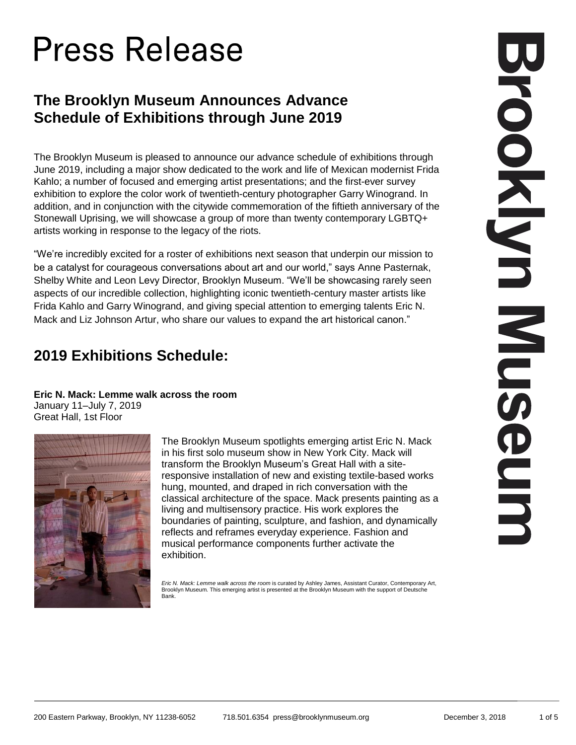# **Press Release**

## **The Brooklyn Museum Announces Advance Schedule of Exhibitions through June 2019**

The Brooklyn Museum is pleased to announce our advance schedule of exhibitions through June 2019, including a major show dedicated to the work and life of Mexican modernist Frida Kahlo; a number of focused and emerging artist presentations; and the first-ever survey exhibition to explore the color work of twentieth-century photographer Garry Winogrand. In addition, and in conjunction with the citywide commemoration of the fiftieth anniversary of the Stonewall Uprising, we will showcase a group of more than twenty contemporary LGBTQ+ artists working in response to the legacy of the riots.

"We're incredibly excited for a roster of exhibitions next season that underpin our mission to be a catalyst for courageous conversations about art and our world," says Anne Pasternak, Shelby White and Leon Levy Director, Brooklyn Museum. "We'll be showcasing rarely seen aspects of our incredible collection, highlighting iconic twentieth-century master artists like Frida Kahlo and Garry Winogrand, and giving special attention to emerging talents Eric N. Mack and Liz Johnson Artur, who share our values to expand the art historical canon."

## **2019 Exhibitions Schedule:**

**Eric N. Mack: Lemme walk across the room**

January 11–July 7, 2019 Great Hall, 1st Floor



The Brooklyn Museum spotlights emerging artist Eric N. Mack in his first solo museum show in New York City. Mack will transform the Brooklyn Museum's Great Hall with a siteresponsive installation of new and existing textile-based works hung, mounted, and draped in rich conversation with the classical architecture of the space. Mack presents painting as a living and multisensory practice. His work explores the boundaries of painting, sculpture, and fashion, and dynamically reflects and reframes everyday experience. Fashion and musical performance components further activate the exhibition.

*Eric N. Mack: Lemme walk across the room* is curated by Ashley James, Assistant Curator, Contemporary Art, Brooklyn Museum. This emerging artist is presented at the Brooklyn Museum with the support of Deutsche Bank.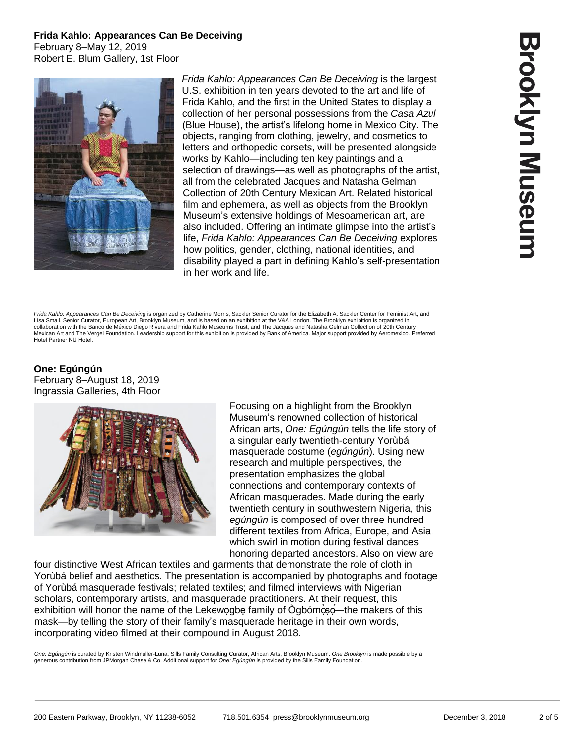**Frida Kahlo: Appearances Can Be Deceiving**  February 8–May 12, 2019 Robert E. Blum Gallery, 1st Floor



*Frida Kahlo: Appearances Can Be Deceiving* is the largest U.S. exhibition in ten years devoted to the art and life of Frida Kahlo, and the first in the United States to display a collection of her personal possessions from the *Casa Azul* (Blue House), the artist's lifelong home in Mexico City. The objects, ranging from clothing, jewelry, and cosmetics to letters and orthopedic corsets, will be presented alongside works by Kahlo—including ten key paintings and a selection of drawings—as well as photographs of the artist, all from the celebrated Jacques and Natasha Gelman Collection of 20th Century Mexican Art. Related historical film and ephemera, as well as objects from the Brooklyn Museum's extensive holdings of Mesoamerican art, are also included. Offering an intimate glimpse into the artist's life, *Frida Kahlo: Appearances Can Be Deceiving* explores how politics, gender, clothing, national identities, and disability played a part in defining Kahlo's self-presentation in her work and life.

Frida Kahlo: Appearances Can Be Deceiving is organized by Catherine Morris, Sackler Senior Curator for the Elizabeth A. Sackler Center for Feminist Art. and Lisa Small, Senior Curator, European Art, Brooklyn Museum, and is based on an exhibition at the V&A London. The Brooklyn exhibition is organized in collaboration with the Banco de México Diego Rivera and Frida Kahlo Museums Trust, and The Jacques and Natasha Gelman Collection of 20th Centur Mexican Art and The Vergel Foundation. Leadership support for this exhibition is provided by Bank of America. Major support provided by Aeromexico. Preferred Hotel Partner NU Hotel.

**One: Egúngún**  February 8–August 18, 2019 Ingrassia Galleries, 4th Floor



Focusing on a highlight from the Brooklyn Museum's renowned collection of historical African arts, *One: Egúngún* tells the life story of a singular early twentieth-century Yorùbá masquerade costume (*egúngún*). Using new research and multiple perspectives, the presentation emphasizes the global connections and contemporary contexts of African masquerades. Made during the early twentieth century in southwestern Nigeria, this *egúngún* is composed of over three hundred different textiles from Africa, Europe, and Asia, which swirl in motion during festival dances honoring departed ancestors. Also on view are

four distinctive West African textiles and garments that demonstrate the role of cloth in Yorùbá belief and aesthetics. The presentation is accompanied by photographs and footage of Yorùbá masquerade festivals; related textiles; and filmed interviews with Nigerian scholars, contemporary artists, and masquerade practitioners. At their request, this exhibition will honor the name of the Lekewogbe family of Ògbómoso—the makers of this mask—by telling the story of their family's masquerade heritage in their own words, incorporating video filmed at their compound in August 2018.

*One: Egúngún* is curated by Kristen Windmuller-Luna, Sills Family Consulting Curator, African Arts, Brooklyn Museum. *One Brooklyn* is made possible by a generous contribution from JPMorgan Chase & Co. Additional support for *One: Egúngún* is provided by the Sills Family Foundation.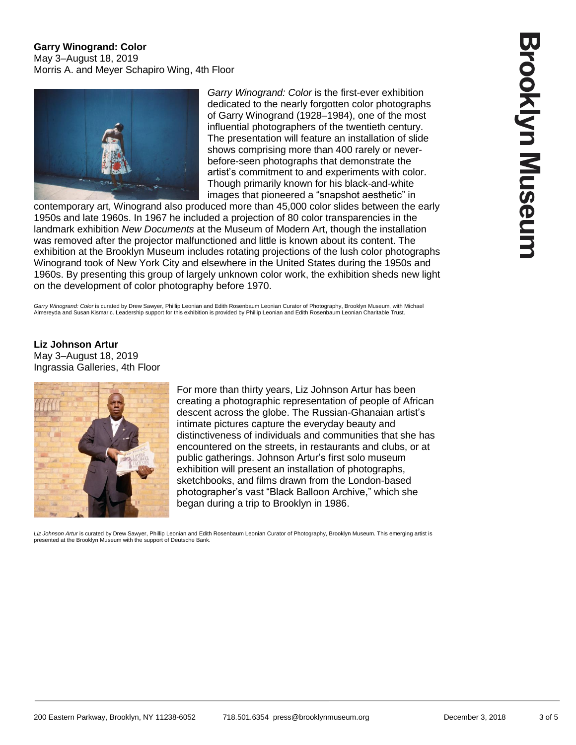### **Garry Winogrand: Color**  May 3–August 18, 2019 Morris A. and Meyer Schapiro Wing, 4th Floor



*Garry Winogrand: Color* is the first-ever exhibition dedicated to the nearly forgotten color photographs of Garry Winogrand (1928–1984), one of the most influential photographers of the twentieth century. The presentation will feature an installation of slide shows comprising more than 400 rarely or neverbefore-seen photographs that demonstrate the artist's commitment to and experiments with color. Though primarily known for his black-and-white images that pioneered a "snapshot aesthetic" in

contemporary art, Winogrand also produced more than 45,000 color slides between the early 1950s and late 1960s. In 1967 he included a projection of 80 color transparencies in the landmark exhibition *New Documents* at the Museum of Modern Art, though the installation was removed after the projector malfunctioned and little is known about its content. The exhibition at the Brooklyn Museum includes rotating projections of the lush color photographs Winogrand took of New York City and elsewhere in the United States during the 1950s and 1960s. By presenting this group of largely unknown color work, the exhibition sheds new light on the development of color photography before 1970.

Garry Winogrand: Color is curated by Drew Sawyer, Phillip Leonian and Edith Rosenbaum Leonian Curator of Photography, Brooklyn Museum, with Michael Almereyda and Susan Kismaric. Leadership support for this exhibition is provided by Phillip Leonian and Edith Rosenbaum Leonian Charitable Trust.

**Liz Johnson Artur**  May 3–August 18, 2019 Ingrassia Galleries, 4th Floor



For more than thirty years, Liz Johnson Artur has been creating a photographic representation of people of African descent across the globe. The Russian-Ghanaian artist's intimate pictures capture the everyday beauty and distinctiveness of individuals and communities that she has encountered on the streets, in restaurants and clubs, or at public gatherings. Johnson Artur's first solo museum exhibition will present an installation of photographs, sketchbooks, and films drawn from the London-based photographer's vast "Black Balloon Archive," which she began during a trip to Brooklyn in 1986.

*Liz Johnson Artur* is curated by Drew Sawyer, Phillip Leonian and Edith Rosenbaum Leonian Curator of Photography, Brooklyn Museum. This emerging artist is presented at the Brooklyn Museum with the support of Deutsche Bank.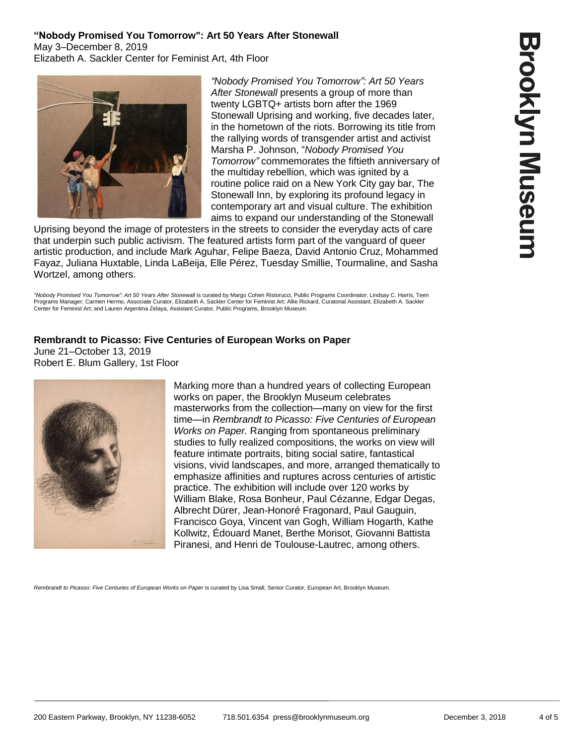### **"Nobody Promised You Tomorrow": Art 50 Years After Stonewall**  May 3–December 8, 2019 Elizabeth A. Sackler Center for Feminist Art, 4th Floor



*"Nobody Promised You Tomorrow": Art 50 Years After Stonewall* presents a group of more than twenty LGBTQ+ artists born after the 1969 Stonewall Uprising and working, five decades later, in the hometown of the riots. Borrowing its title from the rallying words of transgender artist and activist Marsha P. Johnson, "*Nobody Promised You Tomorrow"* commemorates the fiftieth anniversary of the multiday rebellion, which was ignited by a routine police raid on a New York City gay bar, The Stonewall Inn, by exploring its profound legacy in contemporary art and visual culture. The exhibition aims to expand our understanding of the Stonewall

Uprising beyond the image of protesters in the streets to consider the everyday acts of care that underpin such public activism. The featured artists form part of the vanguard of queer artistic production, and include Mark Aguhar, Felipe Baeza, David Antonio Cruz, Mohammed Fayaz, Juliana Huxtable, Linda LaBeija, Elle Pérez, Tuesday Smillie, Tourmaline, and Sasha Wortzel, among others.

*"Nobody Promised You Tomorrow": Art 50 Years After Stonewall* is curated by Margo Cohen Ristorucci, Public Programs Coordinator; Lindsay C. Harris, Teen Programs Manager; Carmen Hermo, Associate Curator, Elizabeth A. Sackler Center for Feminist Art; Allie Rickard, Curatorial Assistant, Elizabeth A. Sackler Center for Feminist Art; and Lauren Argentina Zelaya, Assistant Curator, Public Programs, Brooklyn Museum.

#### **Rembrandt to Picasso: Five Centuries of European Works on Paper**  June 21–October 13, 2019 Robert E. Blum Gallery, 1st Floor



Marking more than a hundred years of collecting European works on paper, the Brooklyn Museum celebrates masterworks from the collection—many on view for the first time—in *Rembrandt to Picasso: Five Centuries of European Works on Paper.* Ranging from spontaneous preliminary studies to fully realized compositions, the works on view will feature intimate portraits, biting social satire, fantastical visions, vivid landscapes, and more, arranged thematically to emphasize affinities and ruptures across centuries of artistic practice. The exhibition will include over 120 works by William Blake, Rosa Bonheur, Paul Cézanne, Edgar Degas, Albrecht Dürer, Jean-Honoré Fragonard, Paul Gauguin, Francisco Goya, Vincent van Gogh, William Hogarth, Kathe Kollwitz, Édouard Manet, Berthe Morisot, Giovanni Battista Piranesi, and Henri de Toulouse-Lautrec, among others.

Rembrandt to Picasso: Five Centuries of European Works on Paper is curated by Lisa Small, Senior Curator, European Art, Brooklyn Museum.